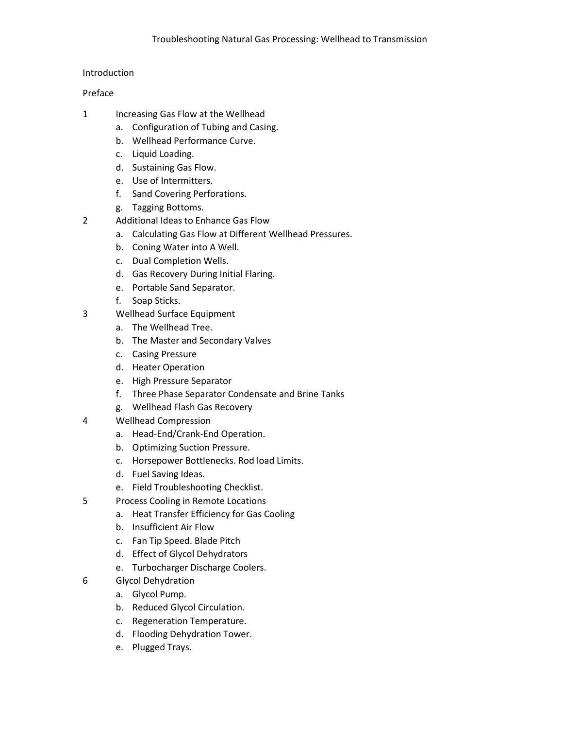## Introduction

## Preface

- 1 Increasing Gas Flow at the Wellhead
	- a. Configuration of Tubing and Casing.
	- b. Wellhead Performance Curve.
	- c. Liquid Loading.
	- d. Sustaining Gas Flow.
	- e. Use of Intermitters.
	- f. Sand Covering Perforations.
	- g. Tagging Bottoms.
- 2 Additional Ideas to Enhance Gas Flow
	- a. Calculating Gas Flow at Different Wellhead Pressures.
	- b. Coning Water into A Well.
	- c. Dual Completion Wells.
	- d. Gas Recovery During Initial Flaring.
	- e. Portable Sand Separator.
	- f. Soap Sticks.
- 3 Wellhead Surface Equipment
	- a. The Wellhead Tree.
	- b. The Master and Secondary Valves
	- c. Casing Pressure
	- d. Heater Operation
	- e. High Pressure Separator
	- f. Three Phase Separator Condensate and Brine Tanks
	- g. Wellhead Flash Gas Recovery
- 4 Wellhead Compression
	- a. Head-End/Crank-End Operation.
	- b. Optimizing Suction Pressure.
	- c. Horsepower Bottlenecks. Rod load Limits.
	- d. Fuel Saving Ideas.
	- e. Field Troubleshooting Checklist.
- 5 Process Cooling in Remote Locations
	- a. Heat Transfer Efficiency for Gas Cooling
	- b. Insufficient Air Flow
	- c. Fan Tip Speed. Blade Pitch
	- d. Effect of Glycol Dehydrators
	- e. Turbocharger Discharge Coolers.
- 6 Glycol Dehydration
	- a. Glycol Pump.
	- b. Reduced Glycol Circulation.
	- c. Regeneration Temperature.
	- d. Flooding Dehydration Tower.
	- e. Plugged Trays.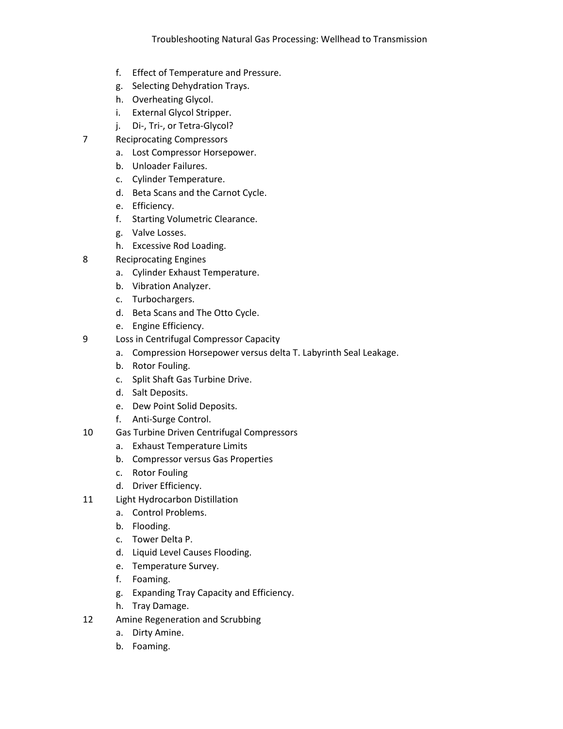- f. Effect of Temperature and Pressure.
- g. Selecting Dehydration Trays.
- h. Overheating Glycol.
- i. External Glycol Stripper.
- j. Di-, Tri-, or Tetra-Glycol?
- 7 Reciprocating Compressors
	- a. Lost Compressor Horsepower.
	- b. Unloader Failures.
	- c. Cylinder Temperature.
	- d. Beta Scans and the Carnot Cycle.
	- e. Efficiency.
	- f. Starting Volumetric Clearance.
	- g. Valve Losses.
	- h. Excessive Rod Loading.
- 8 Reciprocating Engines
	- a. Cylinder Exhaust Temperature.
	- b. Vibration Analyzer.
	- c. Turbochargers.
	- d. Beta Scans and The Otto Cycle.
	- e. Engine Efficiency.
- 9 Loss in Centrifugal Compressor Capacity
	- a. Compression Horsepower versus delta T. Labyrinth Seal Leakage.
	- b. Rotor Fouling.
	- c. Split Shaft Gas Turbine Drive.
	- d. Salt Deposits.
	- e. Dew Point Solid Deposits.
	- f. Anti-Surge Control.
- 10 Gas Turbine Driven Centrifugal Compressors
	- a. Exhaust Temperature Limits
	- b. Compressor versus Gas Properties
	- c. Rotor Fouling
	- d. Driver Efficiency.
- 11 Light Hydrocarbon Distillation
	- a. Control Problems.
	- b. Flooding.
	- c. Tower Delta P.
	- d. Liquid Level Causes Flooding.
	- e. Temperature Survey.
	- f. Foaming.
	- g. Expanding Tray Capacity and Efficiency.
	- h. Tray Damage.
- 12 Amine Regeneration and Scrubbing
	- a. Dirty Amine.
	- b. Foaming.